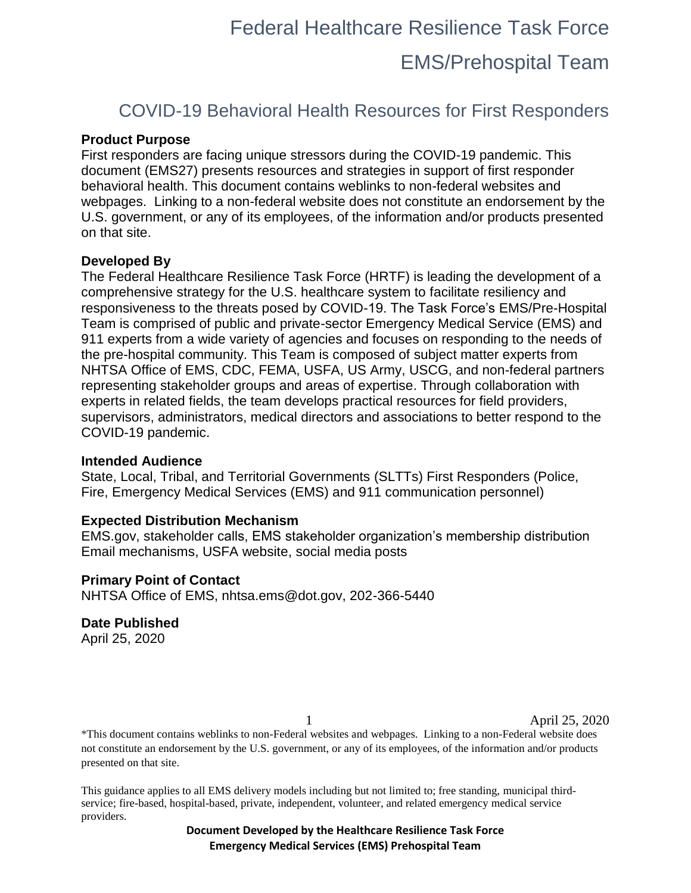### COVID-19 Behavioral Health Resources for First Responders

#### **Product Purpose**

First responders are facing unique stressors during the COVID-19 pandemic. This document (EMS27) presents resources and strategies in support of first responder behavioral health. This document contains weblinks to non-federal websites and webpages. Linking to a non-federal website does not constitute an endorsement by the U.S. government, or any of its employees, of the information and/or products presented on that site.

#### **Developed By**

The Federal Healthcare Resilience Task Force (HRTF) is leading the development of a comprehensive strategy for the U.S. healthcare system to facilitate resiliency and responsiveness to the threats posed by COVID-19. The Task Force's EMS/Pre-Hospital Team is comprised of public and private-sector Emergency Medical Service (EMS) and 911 experts from a wide variety of agencies and focuses on responding to the needs of the pre-hospital community. This Team is composed of subject matter experts from NHTSA Office of EMS, CDC, FEMA, USFA, US Army, USCG, and non-federal partners representing stakeholder groups and areas of expertise. Through collaboration with experts in related fields, the team develops practical resources for field providers, supervisors, administrators, medical directors and associations to better respond to the COVID-19 pandemic.

#### **Intended Audience**

State, Local, Tribal, and Territorial Governments (SLTTs) First Responders (Police, Fire, Emergency Medical Services (EMS) and 911 communication personnel)

#### **Expected Distribution Mechanism**

EMS.gov, stakeholder calls, EMS stakeholder organization's membership distribution Email mechanisms, USFA website, social media posts

#### **Primary Point of Contact**

NHTSA Office of EMS, nhtsa.ems@dot.gov, 202-366-5440

#### **Date Published**

April 25, 2020

1 April 25, 2020

\*This document contains weblinks to non-Federal websites and webpages. Linking to a non-Federal website does not constitute an endorsement by the U.S. government, or any of its employees, of the information and/or products presented on that site.

This guidance applies to all EMS delivery models including but not limited to; free standing, municipal thirdservice; fire-based, hospital-based, private, independent, volunteer, and related emergency medical service providers.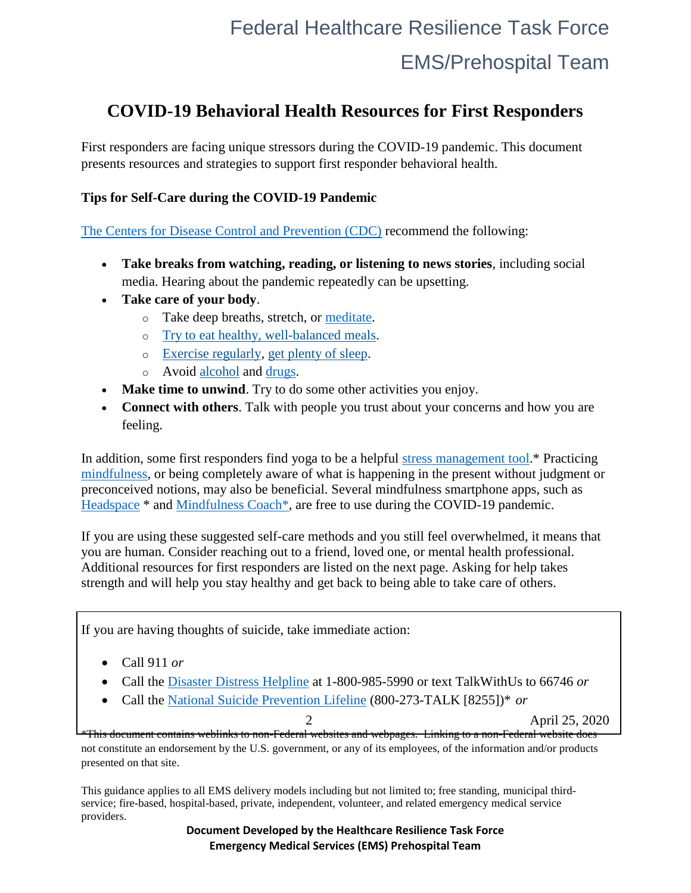### **COVID-19 Behavioral Health Resources for First Responders**

First responders are facing unique stressors during the COVID-19 pandemic. This document presents resources and strategies to support first responder behavioral health.

### **Tips for Self-Care during the COVID-19 Pandemic**

[The Centers for Disease Control and Prevention \(CDC\)](https://www.cdc.gov/coronavirus/2019-ncov/daily-life-coping/managing-stress-anxiety.html?CDC_AA_refVal=https%3A%2F%2Fwww.cdc.gov%2Fcoronavirus%2F2019-ncov%2Fprepare%2Fmanaging-stress-anxiety.html) recommend the following:

- **Take breaks from watching, reading, or listening to news stories**, including social media. Hearing about the pandemic repeatedly can be upsetting.
- **Take care of your body**.
	- o Take deep breaths, stretch, or [meditate.](https://nccih.nih.gov/health/meditation/overview.htm)
	- o [Try to eat healthy, well-balanced meals.](https://www.cdc.gov/nccdphp/dnpao/features/national-nutrition-month/index.html)
	- o [Exercise regularly,](https://www.cdc.gov/physicalactivity/basics/index.htm) [get plenty of sleep.](https://www.cdc.gov/sleep/about_sleep/sleep_hygiene.html)
	- o Avoid [alcohol](https://www.cdc.gov/alcohol/fact-sheets/alcohol-use.htm) and [drugs.](https://www.drugabuse.gov/related-topics/health-consequences-drug-misuse)
- **Make time to unwind**. Try to do some other activities you enjoy.
- **Connect with others**. Talk with people you trust about your concerns and how you are feeling.

In addition, some first responders find yoga to be a helpful [stress management tool.](https://www.policeone.com/health-fitness/articles/how-to-develop-a-tactical-yoga-routine-oevw6V5honkrXBrH/)\* Practicing [mindfulness,](https://newsinhealth.nih.gov/2012/01/mindfulness-matters) or being completely aware of what is happening in the present without judgment or preconceived notions, may also be beneficial. Several mindfulness smartphone apps, such as [Headspace](https://www.headspace.com/covid-19) \* and [Mindfulness Coach\\*](https://www.mobile.va.gov/app/mindfulness-coach), are free to use during the COVID-19 pandemic.

If you are using these suggested self-care methods and you still feel overwhelmed, it means that you are human. Consider reaching out to a friend, loved one, or mental health professional. Additional resources for first responders are listed on the next page. Asking for help takes strength and will help you stay healthy and get back to being able to take care of others.

If you are having thoughts of suicide, take immediate action:

- Call 911 *or*
- Call the [Disaster Distress Helpline](https://www.samhsa.gov/find-help/disaster-distress-helpline) at 1-800-985-5990 or text TalkWithUs to 66746 *or*
- Call the [National Suicide Prevention Lifeline](https://suicidepreventionlifeline.org/) (800-273-TALK [8255])\* *or*

2 April 25, 2020

\*This document contains weblinks to non-Federal websites and webpages. Linking to a non-Federal website does not constitute an endorsement by the U.S. government, or any of its employees, of the information and/or products presented on that site.

This guidance applies to all EMS delivery models including but not limited to; free standing, municipal thirdservice; fire-based, hospital-based, private, independent, volunteer, and related emergency medical service providers.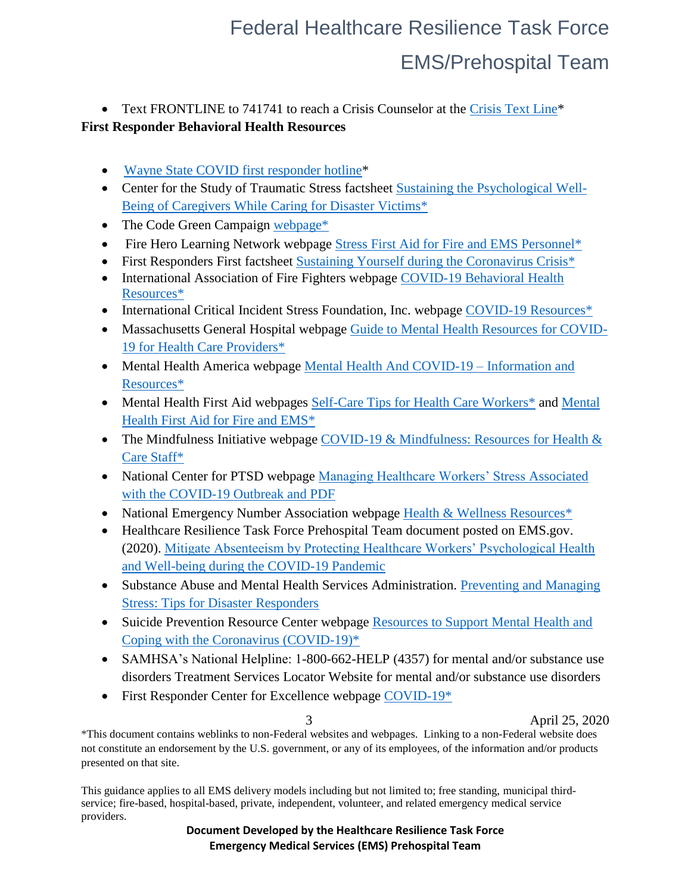• Text FRONTLINE to 741741 to reach a Crisis Counselor at the [Crisis Text Line\\*](https://www.crisistextline.org/text-us/?msclkid=ee55c2cb17301e124c109c5f6e5c999e)

### **First Responder Behavioral Health Resources**

- [Wayne State COVID first responder hotline\\*](https://today.wayne.edu/news/2020/04/03/wsu-school-of-social-work-college-of-nursing-establish-crisis-hotline-for-healthcare-workers-and-first-responders-fighting-the-covid-19-outbreak-36760?utm_source=link&utm_medium=flyer&utm_campaign=Covid+19+Crisis+Hotline+&utm_content=)
- Center for the Study of Traumatic Stress factsheet [Sustaining the Psychological Well-](https://www.cstsonline.org/assets/media/documents/CSTS_FS_Sustaining_Psychological_Wellbeing_of_Caregivers_While%20Caring%20%20for%20Disaster%20Victims.pdf)[Being of Caregivers While Caring for Disaster Victims\\*](https://www.cstsonline.org/assets/media/documents/CSTS_FS_Sustaining_Psychological_Wellbeing_of_Caregivers_While%20Caring%20%20for%20Disaster%20Victims.pdf)
- The Code Green Campaign webpage<sup>\*</sup>
- Fire Hero Learning Network webpage [Stress First Aid for Fire and EMS Personnel\\*](https://www.fireherolearningnetwork.com/Training_Programs/Stress_First_Aid_for_Fire_and_Emergency_Medical_Services_Personnel.aspx)
- First Responders First factsheet [Sustaining Yourself during the Coronavirus Crisis\\*](https://content.thriveglobal.com/wp-content/uploads/2020/03/FRF-Microstep-Sheet.pdf)
- International Association of Fire Fighters webpage COVID-19 Behavioral Health [Resources\\*](https://www.iaff.org/coronavirus/#behavioral-health-resources)
- International Critical Incident Stress Foundation, Inc. webpage [COVID-19 Resources\\*](https://icisf.org/covid19-resources/)
- Massachusetts General Hospital webpage [Guide to Mental Health Resources for COVID-](https://www.massgeneral.org/psychiatry/guide-to-mental-health-resources/health-care-providers)[19 for Health Care Providers\\*](https://www.massgeneral.org/psychiatry/guide-to-mental-health-resources/health-care-providers)
- Mental Health America webpage [Mental Health And COVID-19 –](https://mhanational.org/covid19) Information and [Resources\\*](https://mhanational.org/covid19)
- • [Mental](https://www.mentalhealthfirstaid.org/population-focused-modules/fire-and-ems/) Health First Aid webpages Self-Care Tips for Health Care Workers<sup>\*</sup> and Mental [Health First Aid for Fire and EMS\\*](https://www.mentalhealthfirstaid.org/population-focused-modules/fire-and-ems/)
- The Mindfulness Initiative webpage COVID-19  $&$  Mindfulness: Resources for Health  $&$ [Care Staff\\*](https://www.themindfulnessinitiative.org/covid-19-mindfulness-resources-for-health-and-care-staff)
- National Center for PTSD webpage Managing Healthcare Workers' Stress Associated [with the COVID-19 Outbreak](https://www.ptsd.va.gov/covid/COVID_healthcare_workers.asp) and [PDF](https://www.ptsd.va.gov/covid/COVID19ManagingStressHCW032020.pdf)
- National Emergency Number Association webpage [Health & Wellness Resources\\*](https://www.nena.org/page/covid19)
- Healthcare Resilience Task Force Prehospital Team document posted on EMS.gov. (2020). [Mitigate Absenteeism by Protecting Healthcare Workers' Psychological Health](https://www.ems.gov/pdf/Strategy_to_Mitigate_EMS_Workforce_Absenteeism.pdf)  [and Well-being during the COVID-19 Pandemic](https://www.ems.gov/pdf/Strategy_to_Mitigate_EMS_Workforce_Absenteeism.pdf)
- Substance Abuse and Mental Health Services Administration. Preventing and Managing [Stress: Tips for Disaster Responders](https://store.samhsa.gov/product/Preventing-and-Managing-Stress/SMA14-4873?referer=from_search_result)
- Suicide Prevention Resource Center webpage Resources to Support Mental Health and [Coping with the Coronavirus \(COVID-19\)\\*](http://www.sprc.org/covid19?utm_source=Weekly+Spark+4%2F3%2F20&utm_campaign=Weekly+Spark+April+3%2C+2020&utm_medium=email)
- SAMHSA's National Helpline: 1-800-662-HELP (4357) for mental and/or substance use disorders Treatment Services Locator Website for mental and/or substance use disorders
- First Responder Center for Excellence webpage COVID-19<sup>\*</sup>

3 April 25, 2020

\*This document contains weblinks to non-Federal websites and webpages. Linking to a non-Federal website does not constitute an endorsement by the U.S. government, or any of its employees, of the information and/or products presented on that site.

This guidance applies to all EMS delivery models including but not limited to; free standing, municipal thirdservice; fire-based, hospital-based, private, independent, volunteer, and related emergency medical service providers.